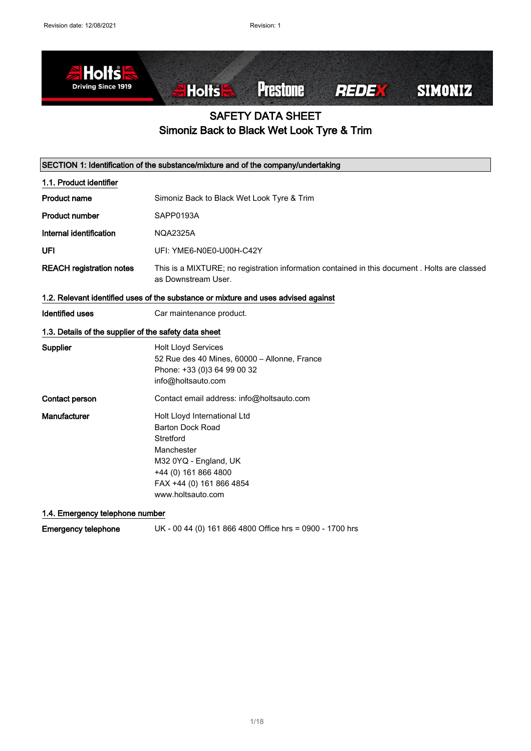

## SAFETY DATA SHEET Simoniz Back to Black Wet Look Tyre & Trim

| SECTION 1: Identification of the substance/mixture and of the company/undertaking |                                                                                                                                                                                      |  |
|-----------------------------------------------------------------------------------|--------------------------------------------------------------------------------------------------------------------------------------------------------------------------------------|--|
| 1.1. Product identifier                                                           |                                                                                                                                                                                      |  |
| <b>Product name</b>                                                               | Simoniz Back to Black Wet Look Tyre & Trim                                                                                                                                           |  |
| <b>Product number</b>                                                             | SAPP0193A                                                                                                                                                                            |  |
| Internal identification                                                           | <b>NQA2325A</b>                                                                                                                                                                      |  |
| UFI                                                                               | UFI: YME6-N0E0-U00H-C42Y                                                                                                                                                             |  |
| <b>REACH registration notes</b>                                                   | This is a MIXTURE; no registration information contained in this document. Holts are classed<br>as Downstream User.                                                                  |  |
|                                                                                   | 1.2. Relevant identified uses of the substance or mixture and uses advised against                                                                                                   |  |
| <b>Identified uses</b>                                                            | Car maintenance product.                                                                                                                                                             |  |
| 1.3. Details of the supplier of the safety data sheet                             |                                                                                                                                                                                      |  |
| Supplier                                                                          | <b>Holt Lloyd Services</b><br>52 Rue des 40 Mines, 60000 - Allonne, France<br>Phone: +33 (0)3 64 99 00 32<br>info@holtsauto.com                                                      |  |
| Contact person                                                                    | Contact email address: info@holtsauto.com                                                                                                                                            |  |
| Manufacturer                                                                      | Holt Lloyd International Ltd<br><b>Barton Dock Road</b><br>Stretford<br>Manchester<br>M32 0YQ - England, UK<br>+44 (0) 161 866 4800<br>FAX +44 (0) 161 866 4854<br>www.holtsauto.com |  |

### 1.4. Emergency telephone number

Emergency telephone UK - 00 44 (0) 161 866 4800 Office hrs = 0900 - 1700 hrs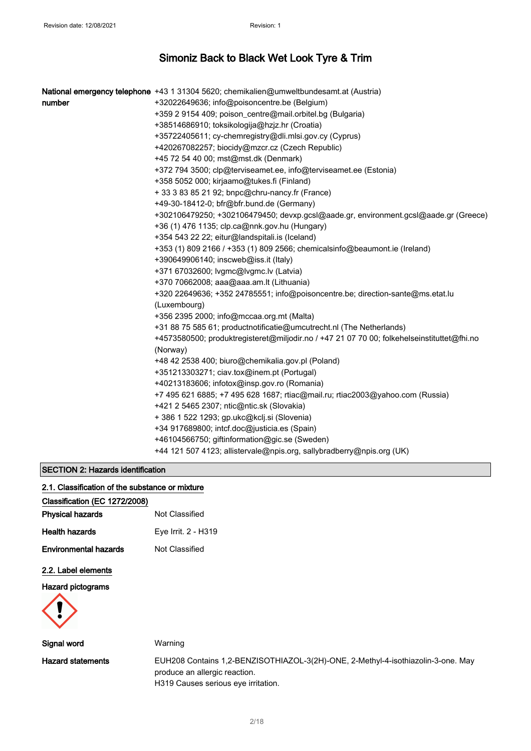|        | National emergency telephone +43 1 31304 5620; chemikalien@umweltbundesamt.at (Austria)    |
|--------|--------------------------------------------------------------------------------------------|
| number | +32022649636; info@poisoncentre.be (Belgium)                                               |
|        | +359 2 9154 409; poison_centre@mail.orbitel.bg (Bulgaria)                                  |
|        | +38514686910; toksikologija@hzjz.hr (Croatia)                                              |
|        | +35722405611; cy-chemregistry@dli.mlsi.gov.cy (Cyprus)                                     |
|        | +420267082257; biocidy@mzcr.cz (Czech Republic)                                            |
|        | +45 72 54 40 00; mst@mst.dk (Denmark)                                                      |
|        | +372 794 3500; clp@terviseamet.ee, info@terviseamet.ee (Estonia)                           |
|        | +358 5052 000; kirjaamo@tukes.fi (Finland)                                                 |
|        | + 33 3 83 85 21 92; bnpc@chru-nancy.fr (France)                                            |
|        | +49-30-18412-0; bfr@bfr.bund.de (Germany)                                                  |
|        | +302106479250; +302106479450; devxp.gcsl@aade.gr, environment.gcsl@aade.gr (Greece)        |
|        | +36 (1) 476 1135; clp.ca@nnk.gov.hu (Hungary)                                              |
|        | +354 543 22 22; eitur@landspitali.is (Iceland)                                             |
|        | +353 (1) 809 2166 / +353 (1) 809 2566; chemicalsinfo@beaumont.ie (Ireland)                 |
|        | +390649906140; inscweb@iss.it (Italy)                                                      |
|        | +371 67032600; lvgmc@lvgmc.lv (Latvia)                                                     |
|        | +370 70662008; aaa@aaa.am.lt (Lithuania)                                                   |
|        | +320 22649636; +352 24785551; info@poisoncentre.be; direction-sante@ms.etat.lu             |
|        | (Luxembourg)                                                                               |
|        | +356 2395 2000; info@mccaa.org.mt (Malta)                                                  |
|        | +31 88 75 585 61; productnotificatie@umcutrecht.nl (The Netherlands)                       |
|        | +4573580500; produktregisteret@miljodir.no / +47 21 07 70 00; folkehelseinstituttet@fhi.no |
|        | (Norway)                                                                                   |
|        | +48 42 2538 400; biuro@chemikalia.gov.pl (Poland)                                          |
|        | +351213303271; ciav.tox@inem.pt (Portugal)                                                 |
|        | +40213183606; infotox@insp.gov.ro (Romania)                                                |
|        | +7 495 621 6885; +7 495 628 1687; rtiac@mail.ru; rtiac2003@yahoo.com (Russia)              |
|        | +421 2 5465 2307; ntic@ntic.sk (Slovakia)                                                  |
|        | + 386 1 522 1293; gp.ukc@kclj.si (Slovenia)                                                |
|        | +34 917689800; intcf.doc@justicia.es (Spain)                                               |
|        | +46104566750; giftinformation@gic.se (Sweden)                                              |
|        | +44 121 507 4123; allistervale@npis.org, sallybradberry@npis.org (UK)                      |
|        |                                                                                            |

### SECTION 2: Hazards identification

#### 2.1. Classification of the substance or mixture

### Classification (EC 1272/2008)

| <b>Physical hazards</b>      | Not Classified      |
|------------------------------|---------------------|
| <b>Health hazards</b>        | Eye Irrit. 2 - H319 |
| <b>Environmental hazards</b> | Not Classified      |

#### 2.2. Label elements

#### Hazard pictograms



| Signal word              | Warning                                                                                                                                                  |
|--------------------------|----------------------------------------------------------------------------------------------------------------------------------------------------------|
| <b>Hazard statements</b> | EUH208 Contains 1,2-BENZISOTHIAZOL-3(2H)-ONE, 2-Methyl-4-isothiazolin-3-one. May<br>produce an allergic reaction.<br>H319 Causes serious eye irritation. |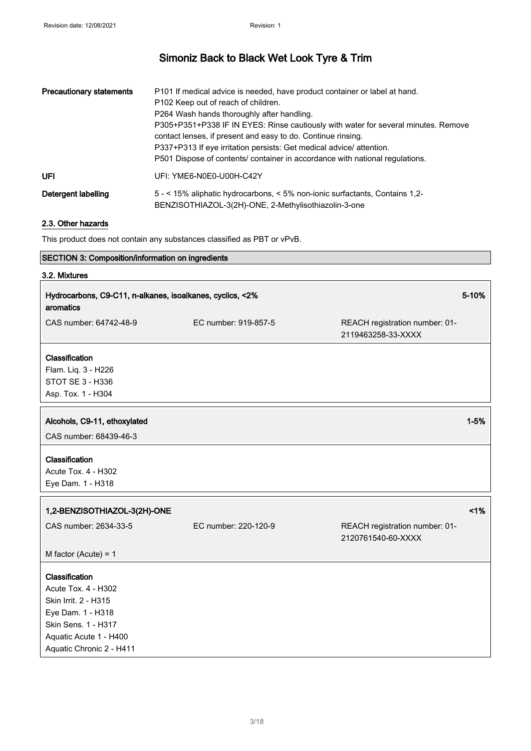| <b>Precautionary statements</b> | P101 If medical advice is needed, have product container or label at hand.<br>P102 Keep out of reach of children.<br>P264 Wash hands thoroughly after handling.<br>P305+P351+P338 IF IN EYES: Rinse cautiously with water for several minutes. Remove<br>contact lenses, if present and easy to do. Continue rinsing.<br>P337+P313 If eye irritation persists: Get medical advice/attention.<br>P501 Dispose of contents/ container in accordance with national regulations. |
|---------------------------------|------------------------------------------------------------------------------------------------------------------------------------------------------------------------------------------------------------------------------------------------------------------------------------------------------------------------------------------------------------------------------------------------------------------------------------------------------------------------------|
| <b>UFI</b>                      | UFI: YME6-N0E0-U00H-C42Y                                                                                                                                                                                                                                                                                                                                                                                                                                                     |
| Detergent labelling             | 5 - < 15% aliphatic hydrocarbons, < 5% non-ionic surfactants, Contains 1,2-<br>BENZISOTHIAZOL-3(2H)-ONE, 2-Methylisothiazolin-3-one                                                                                                                                                                                                                                                                                                                                          |

#### 2.3. Other hazards

This product does not contain any substances classified as PBT or vPvB.

### SECTION 3: Composition/information on ingredients

### 3.2. Mixtures

| Hydrocarbons, C9-C11, n-alkanes, isoalkanes, cyclics, <2%<br>aromatics                                                                                          |                      | 5-10%                                                |          |
|-----------------------------------------------------------------------------------------------------------------------------------------------------------------|----------------------|------------------------------------------------------|----------|
| CAS number: 64742-48-9                                                                                                                                          | EC number: 919-857-5 | REACH registration number: 01-<br>2119463258-33-XXXX |          |
| Classification<br>Flam. Liq. 3 - H226<br>STOT SE 3 - H336<br>Asp. Tox. 1 - H304                                                                                 |                      |                                                      |          |
| Alcohols, C9-11, ethoxylated<br>CAS number: 68439-46-3                                                                                                          |                      |                                                      | $1 - 5%$ |
| Classification<br>Acute Tox. 4 - H302<br>Eye Dam. 1 - H318                                                                                                      |                      |                                                      |          |
| 1,2-BENZISOTHIAZOL-3(2H)-ONE                                                                                                                                    |                      |                                                      | 1%       |
| CAS number: 2634-33-5                                                                                                                                           | EC number: 220-120-9 | REACH registration number: 01-<br>2120761540-60-XXXX |          |
| M factor (Acute) = $1$                                                                                                                                          |                      |                                                      |          |
| Classification<br>Acute Tox. 4 - H302<br>Skin Irrit. 2 - H315<br>Eye Dam. 1 - H318<br>Skin Sens. 1 - H317<br>Aquatic Acute 1 - H400<br>Aquatic Chronic 2 - H411 |                      |                                                      |          |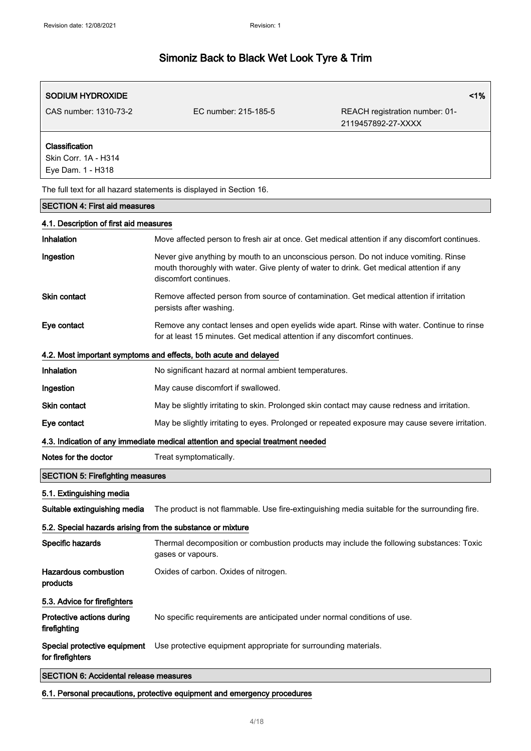| <b>SODIUM HYDROXIDE</b>                                     |                                                                                                                                                                                                           | 1%                                                   |
|-------------------------------------------------------------|-----------------------------------------------------------------------------------------------------------------------------------------------------------------------------------------------------------|------------------------------------------------------|
| CAS number: 1310-73-2                                       | EC number: 215-185-5                                                                                                                                                                                      | REACH registration number: 01-<br>2119457892-27-XXXX |
| Classification<br>Skin Corr. 1A - H314<br>Eye Dam. 1 - H318 |                                                                                                                                                                                                           |                                                      |
|                                                             | The full text for all hazard statements is displayed in Section 16.                                                                                                                                       |                                                      |
| <b>SECTION 4: First aid measures</b>                        |                                                                                                                                                                                                           |                                                      |
| 4.1. Description of first aid measures                      |                                                                                                                                                                                                           |                                                      |
| Inhalation                                                  | Move affected person to fresh air at once. Get medical attention if any discomfort continues.                                                                                                             |                                                      |
| Ingestion                                                   | Never give anything by mouth to an unconscious person. Do not induce vomiting. Rinse<br>mouth thoroughly with water. Give plenty of water to drink. Get medical attention if any<br>discomfort continues. |                                                      |
| <b>Skin contact</b>                                         | Remove affected person from source of contamination. Get medical attention if irritation<br>persists after washing.                                                                                       |                                                      |
| Eye contact                                                 | Remove any contact lenses and open eyelids wide apart. Rinse with water. Continue to rinse<br>for at least 15 minutes. Get medical attention if any discomfort continues.                                 |                                                      |
|                                                             | 4.2. Most important symptoms and effects, both acute and delayed                                                                                                                                          |                                                      |
| Inhalation                                                  | No significant hazard at normal ambient temperatures.                                                                                                                                                     |                                                      |
| Ingestion                                                   | May cause discomfort if swallowed.                                                                                                                                                                        |                                                      |
| <b>Skin contact</b>                                         | May be slightly irritating to skin. Prolonged skin contact may cause redness and irritation.                                                                                                              |                                                      |
| Eye contact                                                 | May be slightly irritating to eyes. Prolonged or repeated exposure may cause severe irritation.                                                                                                           |                                                      |
|                                                             | 4.3. Indication of any immediate medical attention and special treatment needed                                                                                                                           |                                                      |
| Notes for the doctor                                        | Treat symptomatically.                                                                                                                                                                                    |                                                      |
| <b>SECTION 5: Firefighting measures</b>                     |                                                                                                                                                                                                           |                                                      |
| 5.1. Extinguishing media                                    |                                                                                                                                                                                                           |                                                      |
| Suitable extinguishing media                                | The product is not flammable. Use fire-extinguishing media suitable for the surrounding fire.                                                                                                             |                                                      |
| 5.2. Special hazards arising from the substance or mixture  |                                                                                                                                                                                                           |                                                      |
| Specific hazards                                            | Thermal decomposition or combustion products may include the following substances: Toxic<br>gases or vapours.                                                                                             |                                                      |
| <b>Hazardous combustion</b><br>products                     | Oxides of carbon. Oxides of nitrogen.                                                                                                                                                                     |                                                      |
| 5.3. Advice for firefighters                                |                                                                                                                                                                                                           |                                                      |
| Protective actions during<br>firefighting                   | No specific requirements are anticipated under normal conditions of use.                                                                                                                                  |                                                      |
| Special protective equipment<br>for firefighters            | Use protective equipment appropriate for surrounding materials.                                                                                                                                           |                                                      |
| <b>SECTION 6: Accidental release measures</b>               |                                                                                                                                                                                                           |                                                      |

6.1. Personal precautions, protective equipment and emergency procedures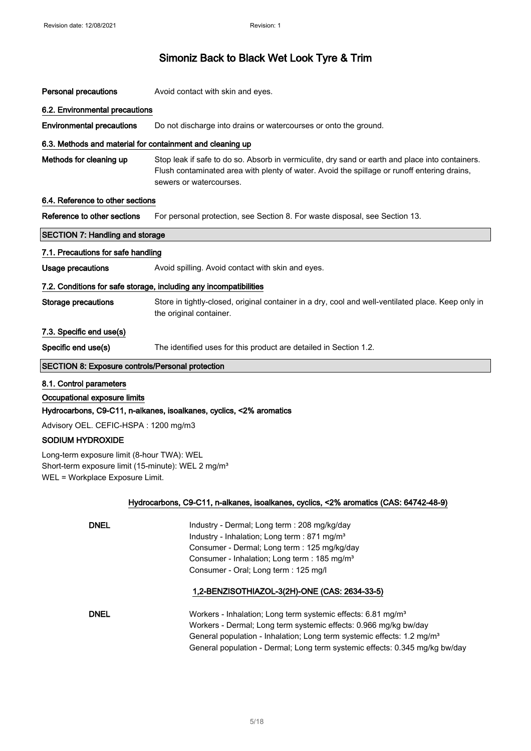| <b>Personal precautions</b>                                                                                                                     | Avoid contact with skin and eyes.                                                                                                                                                                                         |  |
|-------------------------------------------------------------------------------------------------------------------------------------------------|---------------------------------------------------------------------------------------------------------------------------------------------------------------------------------------------------------------------------|--|
| 6.2. Environmental precautions                                                                                                                  |                                                                                                                                                                                                                           |  |
| <b>Environmental precautions</b>                                                                                                                | Do not discharge into drains or watercourses or onto the ground.                                                                                                                                                          |  |
| 6.3. Methods and material for containment and cleaning up                                                                                       |                                                                                                                                                                                                                           |  |
| Methods for cleaning up                                                                                                                         | Stop leak if safe to do so. Absorb in vermiculite, dry sand or earth and place into containers.<br>Flush contaminated area with plenty of water. Avoid the spillage or runoff entering drains,<br>sewers or watercourses. |  |
| 6.4. Reference to other sections                                                                                                                |                                                                                                                                                                                                                           |  |
| Reference to other sections                                                                                                                     | For personal protection, see Section 8. For waste disposal, see Section 13.                                                                                                                                               |  |
| <b>SECTION 7: Handling and storage</b>                                                                                                          |                                                                                                                                                                                                                           |  |
| 7.1. Precautions for safe handling                                                                                                              |                                                                                                                                                                                                                           |  |
| Usage precautions                                                                                                                               | Avoid spilling. Avoid contact with skin and eyes.                                                                                                                                                                         |  |
|                                                                                                                                                 | 7.2. Conditions for safe storage, including any incompatibilities                                                                                                                                                         |  |
| <b>Storage precautions</b>                                                                                                                      | Store in tightly-closed, original container in a dry, cool and well-ventilated place. Keep only in<br>the original container.                                                                                             |  |
| 7.3. Specific end use(s)                                                                                                                        |                                                                                                                                                                                                                           |  |
| Specific end use(s)                                                                                                                             | The identified uses for this product are detailed in Section 1.2.                                                                                                                                                         |  |
| <b>SECTION 8: Exposure controls/Personal protection</b>                                                                                         |                                                                                                                                                                                                                           |  |
| 8.1. Control parameters                                                                                                                         |                                                                                                                                                                                                                           |  |
| Occupational exposure limits                                                                                                                    |                                                                                                                                                                                                                           |  |
|                                                                                                                                                 | Hydrocarbons, C9-C11, n-alkanes, isoalkanes, cyclics, <2% aromatics                                                                                                                                                       |  |
| Advisory OEL. CEFIC-HSPA: 1200 mg/m3                                                                                                            |                                                                                                                                                                                                                           |  |
| <b>SODIUM HYDROXIDE</b>                                                                                                                         |                                                                                                                                                                                                                           |  |
| Long-term exposure limit (8-hour TWA): WEL<br>Short-term exposure limit (15-minute): WEL 2 mg/m <sup>3</sup><br>WEL = Workplace Exposure Limit. |                                                                                                                                                                                                                           |  |
|                                                                                                                                                 | Hydrocarbons, C9-C11, n-alkanes, isoalkanes, cyclics, <2% aromatics (CAS: 64742-48-9)                                                                                                                                     |  |
|                                                                                                                                                 |                                                                                                                                                                                                                           |  |
| <b>DNEL</b>                                                                                                                                     | Industry - Dermal; Long term : 208 mg/kg/day                                                                                                                                                                              |  |
|                                                                                                                                                 | Industry - Inhalation; Long term : 871 mg/m <sup>3</sup><br>Consumer - Dermal; Long term : 125 mg/kg/day                                                                                                                  |  |
|                                                                                                                                                 | Consumer - Inhalation; Long term : 185 mg/m <sup>3</sup>                                                                                                                                                                  |  |
|                                                                                                                                                 | Consumer - Oral; Long term : 125 mg/l                                                                                                                                                                                     |  |
|                                                                                                                                                 | 1,2-BENZISOTHIAZOL-3(2H)-ONE (CAS: 2634-33-5)                                                                                                                                                                             |  |
| <b>DNEL</b>                                                                                                                                     | Workers - Inhalation; Long term systemic effects: 6.81 mg/m <sup>3</sup>                                                                                                                                                  |  |
|                                                                                                                                                 | Workers - Dermal; Long term systemic effects: 0.966 mg/kg bw/day                                                                                                                                                          |  |
|                                                                                                                                                 | General population - Inhalation; Long term systemic effects: 1.2 mg/m <sup>3</sup>                                                                                                                                        |  |
|                                                                                                                                                 | General population - Dermal; Long term systemic effects: 0.345 mg/kg bw/day                                                                                                                                               |  |
|                                                                                                                                                 |                                                                                                                                                                                                                           |  |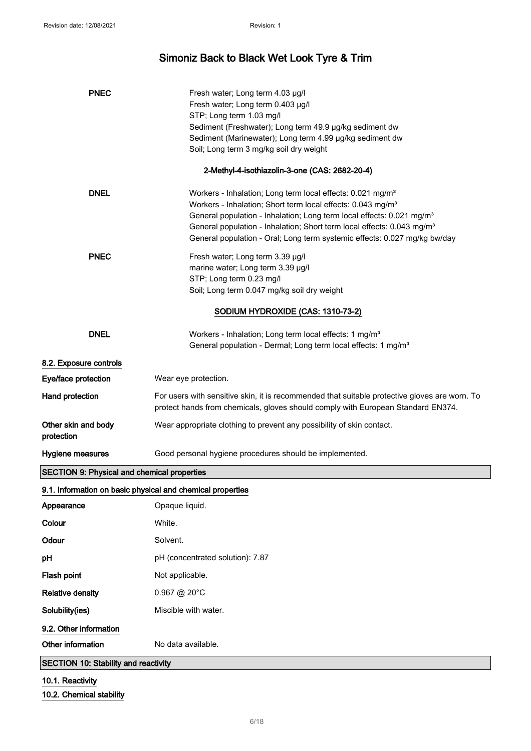| <b>PNEC</b>                                                | Fresh water; Long term 4.03 µg/l<br>Fresh water; Long term 0.403 µg/l<br>STP; Long term 1.03 mg/l<br>Sediment (Freshwater); Long term 49.9 µg/kg sediment dw<br>Sediment (Marinewater); Long term 4.99 µg/kg sediment dw<br>Soil; Long term 3 mg/kg soil dry weight                                                                                                                                       |  |
|------------------------------------------------------------|-----------------------------------------------------------------------------------------------------------------------------------------------------------------------------------------------------------------------------------------------------------------------------------------------------------------------------------------------------------------------------------------------------------|--|
|                                                            | 2-Methyl-4-isothiazolin-3-one (CAS: 2682-20-4)                                                                                                                                                                                                                                                                                                                                                            |  |
| <b>DNEL</b>                                                | Workers - Inhalation; Long term local effects: 0.021 mg/m <sup>3</sup><br>Workers - Inhalation; Short term local effects: 0.043 mg/m <sup>3</sup><br>General population - Inhalation; Long term local effects: 0.021 mg/m <sup>3</sup><br>General population - Inhalation; Short term local effects: 0.043 mg/m <sup>3</sup><br>General population - Oral; Long term systemic effects: 0.027 mg/kg bw/day |  |
| <b>PNEC</b>                                                | Fresh water; Long term 3.39 µg/l<br>marine water; Long term 3.39 µg/l<br>STP; Long term 0.23 mg/l<br>Soil; Long term 0.047 mg/kg soil dry weight                                                                                                                                                                                                                                                          |  |
| SODIUM HYDROXIDE (CAS: 1310-73-2)                          |                                                                                                                                                                                                                                                                                                                                                                                                           |  |
| <b>DNEL</b>                                                | Workers - Inhalation; Long term local effects: 1 mg/m <sup>3</sup><br>General population - Dermal; Long term local effects: 1 mg/m <sup>3</sup>                                                                                                                                                                                                                                                           |  |
| 8.2. Exposure controls                                     |                                                                                                                                                                                                                                                                                                                                                                                                           |  |
| Eye/face protection                                        | Wear eye protection.                                                                                                                                                                                                                                                                                                                                                                                      |  |
| Hand protection                                            | For users with sensitive skin, it is recommended that suitable protective gloves are worn. To<br>protect hands from chemicals, gloves should comply with European Standard EN374.                                                                                                                                                                                                                         |  |
| Other skin and body<br>protection                          | Wear appropriate clothing to prevent any possibility of skin contact.                                                                                                                                                                                                                                                                                                                                     |  |
| Hygiene measures                                           | Good personal hygiene procedures should be implemented.                                                                                                                                                                                                                                                                                                                                                   |  |
| <b>SECTION 9: Physical and chemical properties</b>         |                                                                                                                                                                                                                                                                                                                                                                                                           |  |
| 9.1. Information on basic physical and chemical properties |                                                                                                                                                                                                                                                                                                                                                                                                           |  |
| Appearance                                                 | Opaque liquid.                                                                                                                                                                                                                                                                                                                                                                                            |  |
| Colour                                                     | White.                                                                                                                                                                                                                                                                                                                                                                                                    |  |
| Odour                                                      | Solvent.                                                                                                                                                                                                                                                                                                                                                                                                  |  |
| рH                                                         | pH (concentrated solution): 7.87                                                                                                                                                                                                                                                                                                                                                                          |  |
| Flash point                                                | Not applicable.                                                                                                                                                                                                                                                                                                                                                                                           |  |
| <b>Relative density</b>                                    | 0.967 @ 20°C                                                                                                                                                                                                                                                                                                                                                                                              |  |
| Solubility(ies)                                            | Miscible with water.                                                                                                                                                                                                                                                                                                                                                                                      |  |
| 9.2. Other information                                     |                                                                                                                                                                                                                                                                                                                                                                                                           |  |
| Other information                                          | No data available.                                                                                                                                                                                                                                                                                                                                                                                        |  |
| SECTION 10: Stability and reactivity                       |                                                                                                                                                                                                                                                                                                                                                                                                           |  |
| 10.1. Reactivity                                           |                                                                                                                                                                                                                                                                                                                                                                                                           |  |

10.2. Chemical stability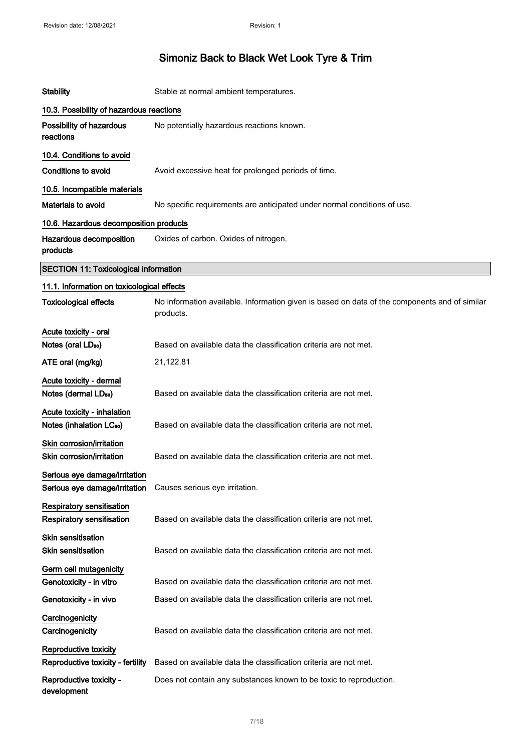| <b>Stability</b>                                                                              | Stable at normal ambient temperatures.                                                                     |
|-----------------------------------------------------------------------------------------------|------------------------------------------------------------------------------------------------------------|
| 10.3. Possibility of hazardous reactions                                                      |                                                                                                            |
| Possibility of hazardous<br>reactions                                                         | No potentially hazardous reactions known.                                                                  |
| 10.4. Conditions to avoid                                                                     |                                                                                                            |
| <b>Conditions to avoid</b>                                                                    | Avoid excessive heat for prolonged periods of time.                                                        |
| 10.5. Incompatible materials                                                                  |                                                                                                            |
| Materials to avoid                                                                            | No specific requirements are anticipated under normal conditions of use.                                   |
| 10.6. Hazardous decomposition products                                                        |                                                                                                            |
| Hazardous decomposition<br>products                                                           | Oxides of carbon. Oxides of nitrogen.                                                                      |
| <b>SECTION 11: Toxicological information</b>                                                  |                                                                                                            |
| 11.1. Information on toxicological effects                                                    |                                                                                                            |
| <b>Toxicological effects</b>                                                                  | No information available. Information given is based on data of the components and of similar<br>products. |
| Acute toxicity - oral                                                                         |                                                                                                            |
| Notes (oral LD <sub>50</sub> )                                                                | Based on available data the classification criteria are not met.                                           |
| ATE oral (mg/kg)                                                                              | 21,122.81                                                                                                  |
| Acute toxicity - dermal<br>Notes (dermal LD <sub>50</sub> )                                   | Based on available data the classification criteria are not met.                                           |
| Acute toxicity - inhalation<br>Notes (inhalation LC <sub>50</sub> )                           | Based on available data the classification criteria are not met.                                           |
| Skin corrosion/irritation<br>Skin corrosion/irritation                                        | Based on available data the classification criteria are not met.                                           |
| Serious eye damage/irritation<br>Serious eye damage/irritation Causes serious eye irritation. |                                                                                                            |
| <b>Respiratory sensitisation</b><br><b>Respiratory sensitisation</b>                          | Based on available data the classification criteria are not met.                                           |
| Skin sensitisation<br><b>Skin sensitisation</b>                                               | Based on available data the classification criteria are not met.                                           |
| Germ cell mutagenicity<br>Genotoxicity - in vitro                                             | Based on available data the classification criteria are not met.                                           |
| Genotoxicity - in vivo                                                                        | Based on available data the classification criteria are not met.                                           |
| Carcinogenicity<br>Carcinogenicity                                                            | Based on available data the classification criteria are not met.                                           |
| Reproductive toxicity<br>Reproductive toxicity - fertility                                    | Based on available data the classification criteria are not met.                                           |
| Reproductive toxicity -<br>development                                                        | Does not contain any substances known to be toxic to reproduction.                                         |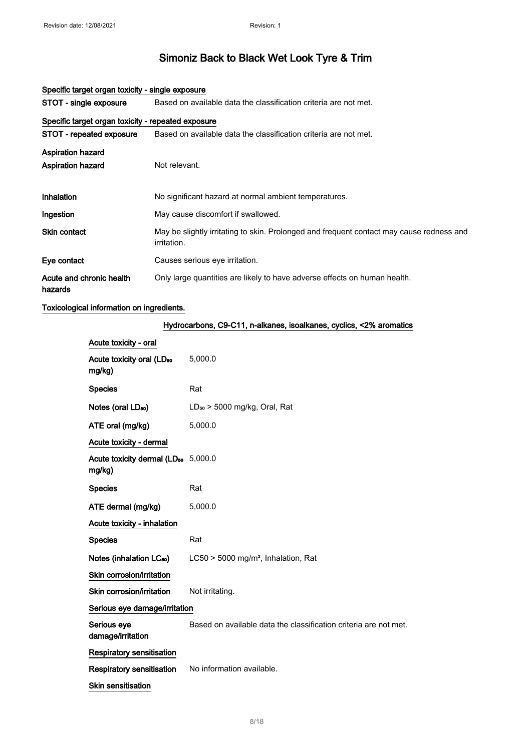| STOT - single exposure                             | Based on available data the classification criteria are not met.                                               |
|----------------------------------------------------|----------------------------------------------------------------------------------------------------------------|
| Specific target organ toxicity - repeated exposure |                                                                                                                |
| STOT - repeated exposure                           | Based on available data the classification criteria are not met.                                               |
| <b>Aspiration hazard</b>                           |                                                                                                                |
| <b>Aspiration hazard</b>                           | Not relevant.                                                                                                  |
| <b>Inhalation</b>                                  | No significant hazard at normal ambient temperatures.                                                          |
| Ingestion                                          | May cause discomfort if swallowed.                                                                             |
| Skin contact                                       | May be slightly irritating to skin. Prolonged and frequent contact may cause redness and<br><i>irritation.</i> |
| Eye contact                                        | Causes serious eye irritation.                                                                                 |
| Acute and chronic health<br>hazards                | Only large quantities are likely to have adverse effects on human health.                                      |

#### Specific target organ toxicity - single exposure

Toxicological information on ingredients.

| Hydrocarbons, C9-C11, n-alkanes, isoalkanes, cyclics, <2% aromatics |                                                                  |  |
|---------------------------------------------------------------------|------------------------------------------------------------------|--|
| Acute toxicity - oral                                               |                                                                  |  |
| Acute toxicity oral (LD <sub>50</sub><br>mg/kg)                     | 5,000.0                                                          |  |
| <b>Species</b>                                                      | Rat                                                              |  |
| Notes (oral LD <sub>50</sub> )                                      | $LD_{50}$ > 5000 mg/kg, Oral, Rat                                |  |
| ATE oral (mg/kg)                                                    | 5,000.0                                                          |  |
| Acute toxicity - dermal                                             |                                                                  |  |
| Acute toxicity dermal (LD <sub>50</sub> 5,000.0<br>mg/kg)           |                                                                  |  |
| <b>Species</b>                                                      | Rat                                                              |  |
| ATE dermal (mg/kg)                                                  | 5,000.0                                                          |  |
| Acute toxicity - inhalation                                         |                                                                  |  |
| <b>Species</b>                                                      | Rat                                                              |  |
| Notes (inhalation LC <sub>50</sub> )                                | LC50 > 5000 mg/m <sup>3</sup> , Inhalation, Rat                  |  |
| Skin corrosion/irritation                                           |                                                                  |  |
| Skin corrosion/irritation                                           | Not irritating.                                                  |  |
| Serious eye damage/irritation                                       |                                                                  |  |
| Serious eye<br>damage/irritation                                    | Based on available data the classification criteria are not met. |  |
| Respiratory sensitisation                                           |                                                                  |  |
| <b>Respiratory sensitisation</b>                                    | No information available.                                        |  |
| <b>Skin sensitisation</b>                                           |                                                                  |  |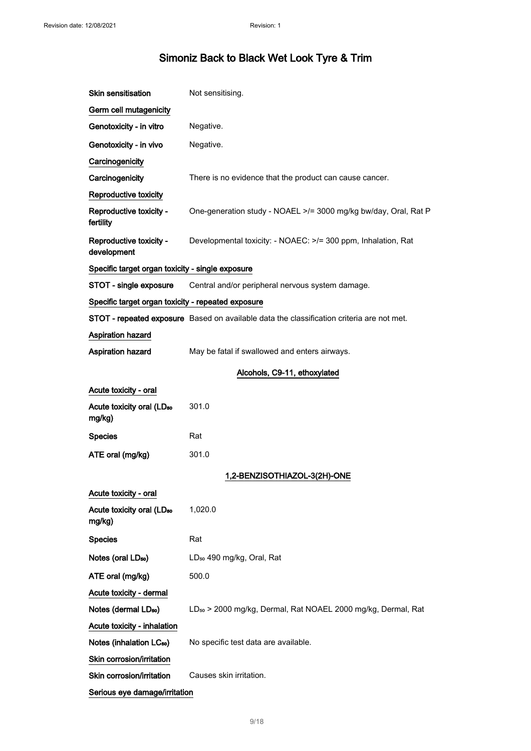| <b>Skin sensitisation</b>                          | Not sensitising.                                                                          |
|----------------------------------------------------|-------------------------------------------------------------------------------------------|
| Germ cell mutagenicity                             |                                                                                           |
| Genotoxicity - in vitro                            | Negative.                                                                                 |
| Genotoxicity - in vivo                             | Negative.                                                                                 |
| Carcinogenicity                                    |                                                                                           |
| Carcinogenicity                                    | There is no evidence that the product can cause cancer.                                   |
| Reproductive toxicity                              |                                                                                           |
| Reproductive toxicity -<br>fertility               | One-generation study - NOAEL >/= 3000 mg/kg bw/day, Oral, Rat P                           |
| Reproductive toxicity -<br>development             | Developmental toxicity: - NOAEC: >/= 300 ppm, Inhalation, Rat                             |
| Specific target organ toxicity - single exposure   |                                                                                           |
| STOT - single exposure                             | Central and/or peripheral nervous system damage.                                          |
| Specific target organ toxicity - repeated exposure |                                                                                           |
|                                                    | STOT - repeated exposure Based on available data the classification criteria are not met. |
| Aspiration hazard                                  |                                                                                           |
| Aspiration hazard                                  | May be fatal if swallowed and enters airways.                                             |
|                                                    | Alcohols, C9-11, ethoxylated                                                              |
| Acute toxicity - oral                              |                                                                                           |
| Acute toxicity oral (LD <sub>50</sub><br>mg/kg)    | 301.0                                                                                     |
| <b>Species</b>                                     | Rat                                                                                       |
| ATE oral (mg/kg)                                   | 301.0                                                                                     |
|                                                    | 1,2-BENZISOTHIAZOL-3(2H)-ONE                                                              |
| Acute toxicity - oral                              |                                                                                           |
| Acute toxicity oral (LD <sub>50</sub><br>mg/kg)    | 1,020.0                                                                                   |
| <b>Species</b>                                     | Rat                                                                                       |
| Notes (oral LD <sub>50</sub> )                     | LD <sub>50</sub> 490 mg/kg, Oral, Rat                                                     |
| ATE oral (mg/kg)                                   | 500.0                                                                                     |
| Acute toxicity - dermal                            |                                                                                           |
| Notes (dermal LD <sub>50</sub> )                   | LD <sub>50</sub> > 2000 mg/kg, Dermal, Rat NOAEL 2000 mg/kg, Dermal, Rat                  |
| Acute toxicity - inhalation                        |                                                                                           |
| Notes (inhalation LC <sub>50</sub> )               | No specific test data are available.                                                      |
| Skin corrosion/irritation                          |                                                                                           |
| Skin corrosion/irritation                          | Causes skin irritation.                                                                   |
| Serious eye damage/irritation                      |                                                                                           |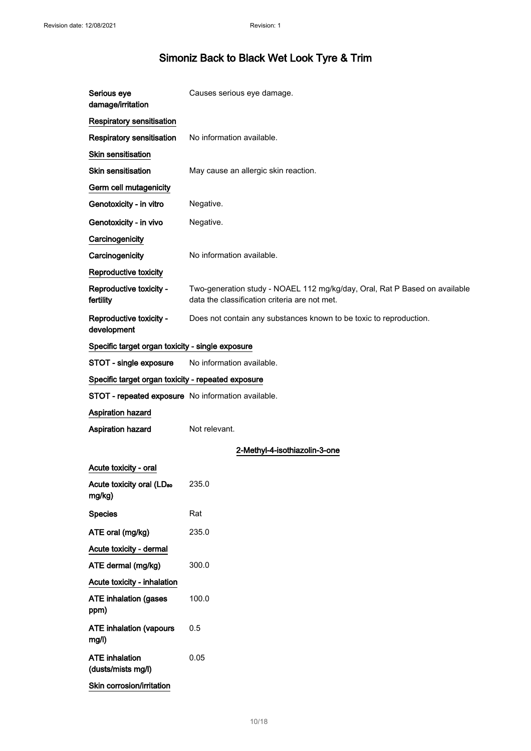| Serious eye<br>damage/irritation                   | Causes serious eye damage.                                                                                                  |
|----------------------------------------------------|-----------------------------------------------------------------------------------------------------------------------------|
| Respiratory sensitisation                          |                                                                                                                             |
| Respiratory sensitisation                          | No information available.                                                                                                   |
| Skin sensitisation                                 |                                                                                                                             |
| <b>Skin sensitisation</b>                          | May cause an allergic skin reaction.                                                                                        |
| Germ cell mutagenicity                             |                                                                                                                             |
| Genotoxicity - in vitro                            | Negative.                                                                                                                   |
| Genotoxicity - in vivo                             | Negative.                                                                                                                   |
| Carcinogenicity                                    |                                                                                                                             |
| Carcinogenicity                                    | No information available.                                                                                                   |
| Reproductive toxicity                              |                                                                                                                             |
| Reproductive toxicity -<br>fertility               | Two-generation study - NOAEL 112 mg/kg/day, Oral, Rat P Based on available<br>data the classification criteria are not met. |
| Reproductive toxicity -<br>development             | Does not contain any substances known to be toxic to reproduction.                                                          |
| Specific target organ toxicity - single exposure   |                                                                                                                             |
| STOT - single exposure                             | No information available.                                                                                                   |
| Specific target organ toxicity - repeated exposure |                                                                                                                             |
| STOT - repeated exposure No information available. |                                                                                                                             |
| Aspiration hazard                                  |                                                                                                                             |
| Aspiration hazard                                  | Not relevant.                                                                                                               |
|                                                    | 2-Methyl-4-isothiazolin-3-one                                                                                               |
| Acute toxicity - oral                              |                                                                                                                             |
| Acute toxicity oral (LD <sub>50</sub><br>mg/kg)    | 235.0                                                                                                                       |
| <b>Species</b>                                     | Rat                                                                                                                         |
| ATE oral (mg/kg)                                   | 235.0                                                                                                                       |
| Acute toxicity - dermal                            |                                                                                                                             |
| ATE dermal (mg/kg)                                 | 300.0                                                                                                                       |
| Acute toxicity - inhalation                        |                                                                                                                             |
| <b>ATE inhalation (gases</b><br>ppm)               | 100.0                                                                                                                       |
| <b>ATE inhalation (vapours</b><br>mg/l)            | 0.5                                                                                                                         |
| <b>ATE</b> inhalation<br>(dusts/mists mg/l)        | 0.05                                                                                                                        |
| Skin corrosion/irritation                          |                                                                                                                             |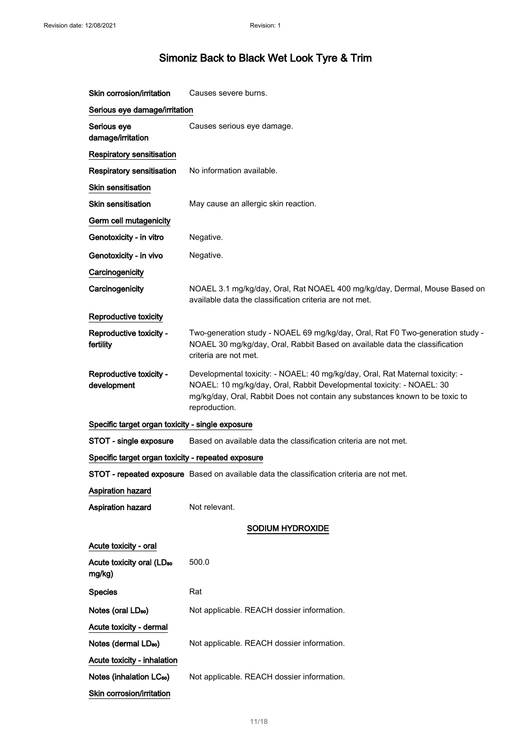| Skin corrosion/irritation                          | Causes severe burns.                                                                                                                                                                                                                                    |
|----------------------------------------------------|---------------------------------------------------------------------------------------------------------------------------------------------------------------------------------------------------------------------------------------------------------|
| Serious eye damage/irritation                      |                                                                                                                                                                                                                                                         |
| Serious eye<br>damage/irritation                   | Causes serious eye damage.                                                                                                                                                                                                                              |
| Respiratory sensitisation                          |                                                                                                                                                                                                                                                         |
| <b>Respiratory sensitisation</b>                   | No information available.                                                                                                                                                                                                                               |
| <b>Skin sensitisation</b>                          |                                                                                                                                                                                                                                                         |
| <b>Skin sensitisation</b>                          | May cause an allergic skin reaction.                                                                                                                                                                                                                    |
| Germ cell mutagenicity                             |                                                                                                                                                                                                                                                         |
| Genotoxicity - in vitro                            | Negative.                                                                                                                                                                                                                                               |
| Genotoxicity - in vivo                             | Negative.                                                                                                                                                                                                                                               |
| Carcinogenicity                                    |                                                                                                                                                                                                                                                         |
| Carcinogenicity                                    | NOAEL 3.1 mg/kg/day, Oral, Rat NOAEL 400 mg/kg/day, Dermal, Mouse Based on<br>available data the classification criteria are not met.                                                                                                                   |
| Reproductive toxicity                              |                                                                                                                                                                                                                                                         |
| Reproductive toxicity -<br>fertility               | Two-generation study - NOAEL 69 mg/kg/day, Oral, Rat F0 Two-generation study -<br>NOAEL 30 mg/kg/day, Oral, Rabbit Based on available data the classification<br>criteria are not met.                                                                  |
| Reproductive toxicity -<br>development             | Developmental toxicity: - NOAEL: 40 mg/kg/day, Oral, Rat Maternal toxicity: -<br>NOAEL: 10 mg/kg/day, Oral, Rabbit Developmental toxicity: - NOAEL: 30<br>mg/kg/day, Oral, Rabbit Does not contain any substances known to be toxic to<br>reproduction. |
| Specific target organ toxicity - single exposure   |                                                                                                                                                                                                                                                         |
| STOT - single exposure                             | Based on available data the classification criteria are not met.                                                                                                                                                                                        |
| Specific target organ toxicity - repeated exposure |                                                                                                                                                                                                                                                         |
|                                                    | STOT - repeated exposure Based on available data the classification criteria are not met.                                                                                                                                                               |
| <b>Aspiration hazard</b>                           |                                                                                                                                                                                                                                                         |
| Aspiration hazard                                  | Not relevant.                                                                                                                                                                                                                                           |
|                                                    | SODIUM HYDROXIDE                                                                                                                                                                                                                                        |
| Acute toxicity - oral                              |                                                                                                                                                                                                                                                         |
| Acute toxicity oral (LD <sub>50</sub><br>mg/kg)    | 500.0                                                                                                                                                                                                                                                   |
| <b>Species</b>                                     | Rat                                                                                                                                                                                                                                                     |
| Notes (oral LD <sub>50</sub> )                     | Not applicable. REACH dossier information.                                                                                                                                                                                                              |
| Acute toxicity - dermal                            |                                                                                                                                                                                                                                                         |
| Notes (dermal LD <sub>50</sub> )                   | Not applicable. REACH dossier information.                                                                                                                                                                                                              |
| Acute toxicity - inhalation                        |                                                                                                                                                                                                                                                         |
| Notes (inhalation LC <sub>50</sub> )               | Not applicable. REACH dossier information.                                                                                                                                                                                                              |

Skin corrosion/irritation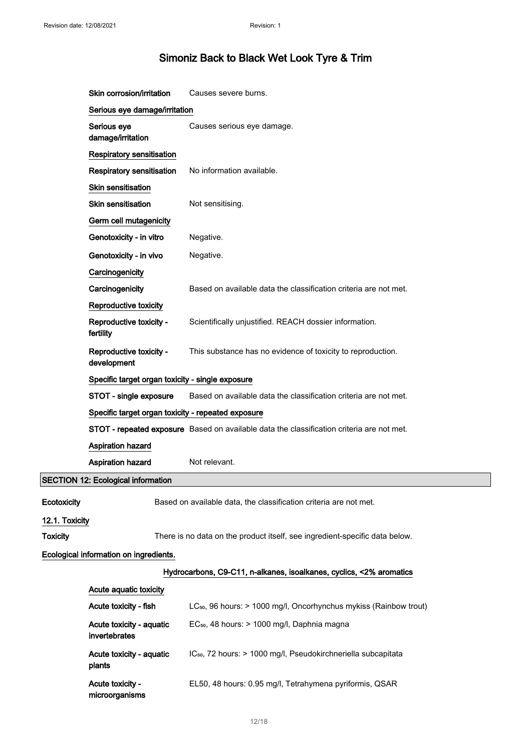|                                                                     | Skin corrosion/irritation                                                                  | Causes severe burns.                                                                      |
|---------------------------------------------------------------------|--------------------------------------------------------------------------------------------|-------------------------------------------------------------------------------------------|
|                                                                     | Serious eye damage/irritation                                                              |                                                                                           |
|                                                                     | Serious eye<br>damage/irritation                                                           | Causes serious eye damage.                                                                |
|                                                                     | Respiratory sensitisation                                                                  |                                                                                           |
|                                                                     | <b>Respiratory sensitisation</b>                                                           | No information available.                                                                 |
|                                                                     | Skin sensitisation                                                                         |                                                                                           |
|                                                                     | <b>Skin sensitisation</b>                                                                  | Not sensitising.                                                                          |
|                                                                     | Germ cell mutagenicity                                                                     |                                                                                           |
|                                                                     | Genotoxicity - in vitro                                                                    | Negative.                                                                                 |
|                                                                     | Genotoxicity - in vivo                                                                     | Negative.                                                                                 |
|                                                                     | Carcinogenicity                                                                            |                                                                                           |
|                                                                     | Carcinogenicity                                                                            | Based on available data the classification criteria are not met.                          |
|                                                                     | Reproductive toxicity                                                                      |                                                                                           |
|                                                                     | Reproductive toxicity -<br>fertility                                                       | Scientifically unjustified. REACH dossier information.                                    |
|                                                                     | Reproductive toxicity -<br>development                                                     | This substance has no evidence of toxicity to reproduction.                               |
|                                                                     | Specific target organ toxicity - single exposure                                           |                                                                                           |
|                                                                     | Based on available data the classification criteria are not met.<br>STOT - single exposure |                                                                                           |
|                                                                     | Specific target organ toxicity - repeated exposure                                         |                                                                                           |
|                                                                     |                                                                                            | STOT - repeated exposure Based on available data the classification criteria are not met. |
|                                                                     | Aspiration hazard                                                                          |                                                                                           |
|                                                                     | Aspiration hazard                                                                          | Not relevant.                                                                             |
|                                                                     | <b>SECTION 12: Ecological information</b>                                                  |                                                                                           |
| Ecotoxicity                                                         |                                                                                            | Based on available data, the classification criteria are not met.                         |
| 12.1. Toxicity                                                      |                                                                                            |                                                                                           |
| <b>Toxicity</b>                                                     |                                                                                            | There is no data on the product itself, see ingredient-specific data below.               |
| Ecological information on ingredients.                              |                                                                                            |                                                                                           |
| Hydrocarbons, C9-C11, n-alkanes, isoalkanes, cyclics, <2% aromatics |                                                                                            |                                                                                           |
|                                                                     | Acute aquatic toxicity                                                                     |                                                                                           |
|                                                                     | Acute toxicity - fish                                                                      | LC <sub>50</sub> , 96 hours: > 1000 mg/l, Oncorhynchus mykiss (Rainbow trout)             |
|                                                                     | Acute toxicity - aquatic<br>invertebrates                                                  | EC <sub>50</sub> , 48 hours: > 1000 mg/l, Daphnia magna                                   |
|                                                                     | Acute toxicity - aquatic<br>plants                                                         | IC <sub>50</sub> , 72 hours: > 1000 mg/l, Pseudokirchneriella subcapitata                 |
|                                                                     | Acute toxicity -<br>microorganisms                                                         | EL50, 48 hours: 0.95 mg/l, Tetrahymena pyriformis, QSAR                                   |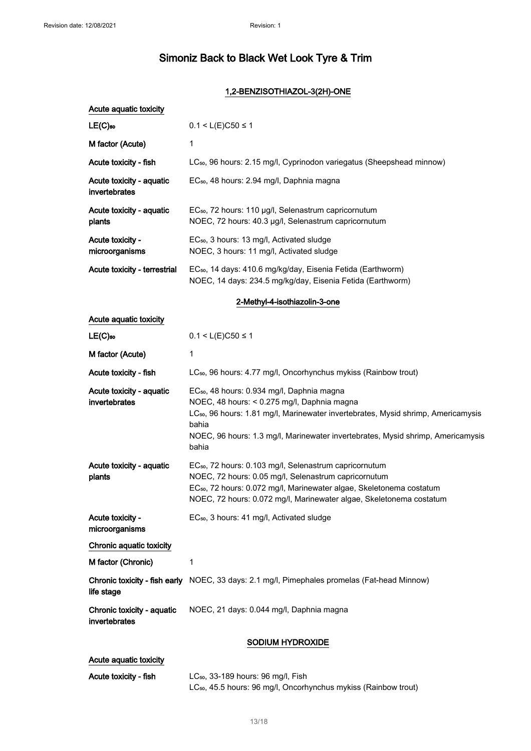### 1,2-BENZISOTHIAZOL-3(2H)-ONE

| Acute aquatic toxicity                      |                                                                                                                                                                                                                                                                                                             |
|---------------------------------------------|-------------------------------------------------------------------------------------------------------------------------------------------------------------------------------------------------------------------------------------------------------------------------------------------------------------|
| $LE(C)$ <sub>50</sub>                       | $0.1 < L(E)$ C50 ≤ 1                                                                                                                                                                                                                                                                                        |
| M factor (Acute)                            | 1                                                                                                                                                                                                                                                                                                           |
| Acute toxicity - fish                       | LC <sub>50</sub> , 96 hours: 2.15 mg/l, Cyprinodon variegatus (Sheepshead minnow)                                                                                                                                                                                                                           |
| Acute toxicity - aquatic<br>invertebrates   | EC <sub>50</sub> , 48 hours: 2.94 mg/l, Daphnia magna                                                                                                                                                                                                                                                       |
| Acute toxicity - aquatic<br>plants          | EC <sub>50</sub> , 72 hours: 110 µg/l, Selenastrum capricornutum<br>NOEC, 72 hours: 40.3 µg/l, Selenastrum capricornutum                                                                                                                                                                                    |
| Acute toxicity -<br>microorganisms          | EC <sub>50</sub> , 3 hours: 13 mg/l, Activated sludge<br>NOEC, 3 hours: 11 mg/l, Activated sludge                                                                                                                                                                                                           |
| Acute toxicity - terrestrial                | EC <sub>50</sub> , 14 days: 410.6 mg/kg/day, Eisenia Fetida (Earthworm)<br>NOEC, 14 days: 234.5 mg/kg/day, Eisenia Fetida (Earthworm)                                                                                                                                                                       |
|                                             | 2-Methyl-4-isothiazolin-3-one                                                                                                                                                                                                                                                                               |
| Acute aquatic toxicity                      |                                                                                                                                                                                                                                                                                                             |
| $LE(C)$ <sub>50</sub>                       | $0.1 < L(E)C50 \le 1$                                                                                                                                                                                                                                                                                       |
| M factor (Acute)                            | 1                                                                                                                                                                                                                                                                                                           |
| Acute toxicity - fish                       | LC <sub>50</sub> , 96 hours: 4.77 mg/l, Oncorhynchus mykiss (Rainbow trout)                                                                                                                                                                                                                                 |
| Acute toxicity - aquatic<br>invertebrates   | EC <sub>50</sub> , 48 hours: 0.934 mg/l, Daphnia magna<br>NOEC, 48 hours: < 0.275 mg/l, Daphnia magna<br>LC <sub>50</sub> , 96 hours: 1.81 mg/l, Marinewater invertebrates, Mysid shrimp, Americamysis<br>bahia<br>NOEC, 96 hours: 1.3 mg/l, Marinewater invertebrates, Mysid shrimp, Americamysis<br>bahia |
| Acute toxicity - aquatic<br>plants          | EC <sub>50</sub> , 72 hours: 0.103 mg/l, Selenastrum capricornutum<br>NOEC, 72 hours: 0.05 mg/l, Selenastrum capricornutum<br>EC <sub>50</sub> , 72 hours: 0.072 mg/l, Marinewater algae, Skeletonema costatum<br>NOEC, 72 hours: 0.072 mg/l, Marinewater algae, Skeletonema costatum                       |
| Acute toxicity -<br>microorganisms          | EC <sub>50</sub> , 3 hours: 41 mg/l, Activated sludge                                                                                                                                                                                                                                                       |
| Chronic aquatic toxicity                    |                                                                                                                                                                                                                                                                                                             |
| M factor (Chronic)                          | 1                                                                                                                                                                                                                                                                                                           |
| life stage                                  | Chronic toxicity - fish early NOEC, 33 days: 2.1 mg/l, Pimephales promelas (Fat-head Minnow)                                                                                                                                                                                                                |
| Chronic toxicity - aquatic<br>invertebrates | NOEC, 21 days: 0.044 mg/l, Daphnia magna                                                                                                                                                                                                                                                                    |
|                                             | SODIUM HYDROXIDE                                                                                                                                                                                                                                                                                            |
| Acute aquatic toxicity                      |                                                                                                                                                                                                                                                                                                             |

| Acute toxicity - fish | $LC_{50}$ , 33-189 hours: 96 mg/l, Fish                                     |
|-----------------------|-----------------------------------------------------------------------------|
|                       | LC <sub>50</sub> , 45.5 hours: 96 mg/l, Oncorhynchus mykiss (Rainbow trout) |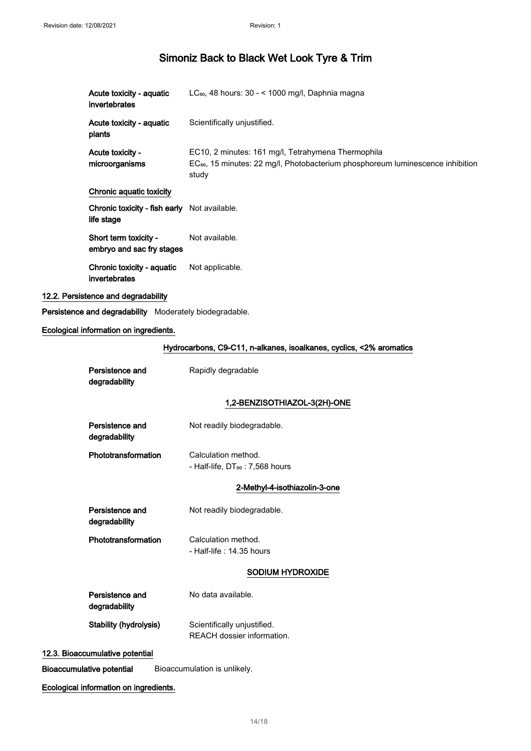| Acute toxicity - aquatic<br>invertebrates                  | LC <sub>50</sub> , 48 hours: 30 - < 1000 mg/l, Daphnia magna                                                                                              |
|------------------------------------------------------------|-----------------------------------------------------------------------------------------------------------------------------------------------------------|
| Acute toxicity - aquatic<br>plants                         | Scientifically unjustified.                                                                                                                               |
| Acute toxicity -<br>microorganisms                         | EC10, 2 minutes: 161 mg/l, Tetrahymena Thermophila<br>EC <sub>50</sub> , 15 minutes: 22 mg/l, Photobacterium phosphoreum luminescence inhibition<br>study |
| Chronic aquatic toxicity                                   |                                                                                                                                                           |
| Chronic toxicity - fish early Not available.<br>life stage |                                                                                                                                                           |
| Short term toxicity -<br>embryo and sac fry stages         | Not available.                                                                                                                                            |
| Chronic toxicity - aquatic<br>invertebrates                | Not applicable.                                                                                                                                           |
| 12.2. Persistence and degradability                        |                                                                                                                                                           |
| Persistence and degradability Moderately biodegradable.    |                                                                                                                                                           |
| Ecological information on ingredients.                     |                                                                                                                                                           |
|                                                            | Hydrocarbons, C9-C11, n-alkanes, isoalkanes, cyclics, <2% aromatics                                                                                       |
| Persistence and<br>degradability                           | Rapidly degradable                                                                                                                                        |
|                                                            | 1,2-BENZISOTHIAZOL-3(2H)-ONE                                                                                                                              |
| Persistence and<br>degradability                           | Not readily biodegradable.                                                                                                                                |
| Phototransformation                                        | Calculation method.<br>- Half-life, DT <sub>50</sub> : 7,568 hours                                                                                        |
|                                                            | 2-Methyl-4-isothiazolin-3-one                                                                                                                             |
| Persistence and<br>degradability                           | Not readily biodegradable.                                                                                                                                |
| Phototransformation                                        | Calculation method.<br>- Half-life: 14.35 hours                                                                                                           |
|                                                            | SODIUM HYDROXIDE                                                                                                                                          |
| Persistence and<br>degradability                           | No data available.                                                                                                                                        |
| <b>Stability (hydrolysis)</b>                              | Scientifically unjustified.<br>REACH dossier information.                                                                                                 |
| 12.3. Bioaccumulative potential                            |                                                                                                                                                           |

Bioaccumulative potential Bioaccumulation is unlikely.

Ecological information on ingredients.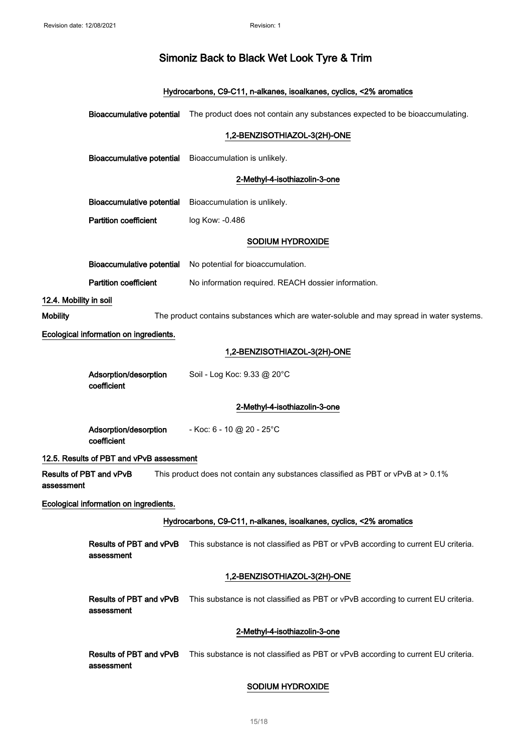### Hydrocarbons, C9-C11, n-alkanes, isoalkanes, cyclics, <2% aromatics

|                        |                                          | Bioaccumulative potential The product does not contain any substances expected to be bioaccumulating. |
|------------------------|------------------------------------------|-------------------------------------------------------------------------------------------------------|
|                        |                                          | 1,2-BENZISOTHIAZOL-3(2H)-ONE                                                                          |
|                        |                                          | Bioaccumulative potential Bioaccumulation is unlikely.                                                |
|                        |                                          | 2-Methyl-4-isothiazolin-3-one                                                                         |
|                        |                                          | Bioaccumulative potential Bioaccumulation is unlikely.                                                |
|                        | <b>Partition coefficient</b>             | log Kow: -0.486                                                                                       |
|                        |                                          | SODIUM HYDROXIDE                                                                                      |
|                        | <b>Bioaccumulative potential</b>         | No potential for bioaccumulation.                                                                     |
|                        | <b>Partition coefficient</b>             | No information required. REACH dossier information.                                                   |
| 12.4. Mobility in soil |                                          |                                                                                                       |
| <b>Mobility</b>        |                                          | The product contains substances which are water-soluble and may spread in water systems.              |
|                        | Ecological information on ingredients.   |                                                                                                       |
|                        |                                          | 1,2-BENZISOTHIAZOL-3(2H)-ONE                                                                          |
|                        | Adsorption/desorption<br>coefficient     | Soil - Log Koc: 9.33 @ 20°C                                                                           |
|                        |                                          | 2-Methyl-4-isothiazolin-3-one                                                                         |
|                        | Adsorption/desorption<br>coefficient     | - Koc: 6 - 10 @ 20 - 25°C                                                                             |
|                        | 12.5. Results of PBT and vPvB assessment |                                                                                                       |
| assessment             | Results of PBT and vPvB                  | This product does not contain any substances classified as PBT or vPvB at > 0.1%                      |
|                        | Ecological information on ingredients.   |                                                                                                       |
|                        |                                          | Hydrocarbons, C9-C11, n-alkanes, isoalkanes, cyclics, <2% aromatics                                   |
|                        | Results of PBT and vPvB<br>assessment    | This substance is not classified as PBT or vPvB according to current EU criteria.                     |
|                        |                                          | 1,2-BENZISOTHIAZOL-3(2H)-ONE                                                                          |
|                        | Results of PBT and vPvB<br>assessment    | This substance is not classified as PBT or vPvB according to current EU criteria.                     |
|                        |                                          | 2-Methyl-4-isothiazolin-3-one                                                                         |
|                        | Results of PBT and vPvB<br>assessment    | This substance is not classified as PBT or vPvB according to current EU criteria.                     |
|                        |                                          | SODIUM HYDROXIDE                                                                                      |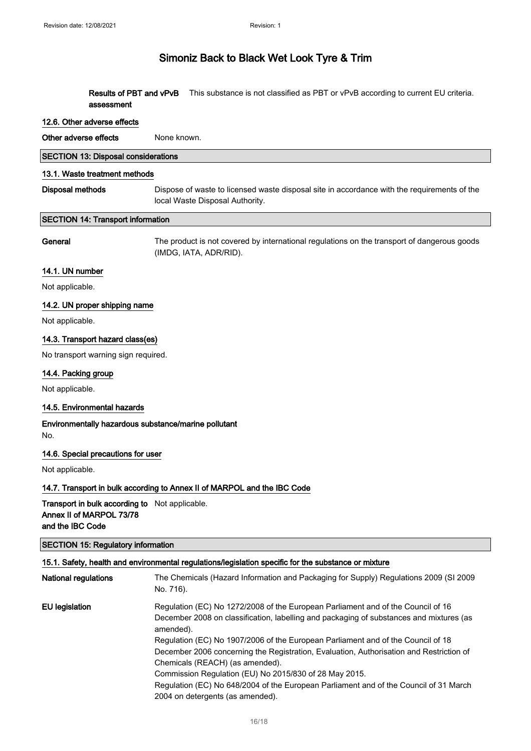Results of PBT and vPvB This substance is not classified as PBT or vPvB according to current EU criteria. assessment

#### 12.6. Other adverse effects

Other adverse effects None known.

|  |  | <b>SECTION 13: Disposal considerations</b> |
|--|--|--------------------------------------------|
|--|--|--------------------------------------------|

#### 13.1. Waste treatment methods

Disposal methods Dispose of waste to licensed waste disposal site in accordance with the requirements of the local Waste Disposal Authority.

#### SECTION 14: Transport information

General The product is not covered by international regulations on the transport of dangerous goods (IMDG, IATA, ADR/RID).

### 14.1. UN number

Not applicable.

#### 14.2. UN proper shipping name

Not applicable.

#### 14.3. Transport hazard class(es)

No transport warning sign required.

#### 14.4. Packing group

Not applicable.

#### 14.5. Environmental hazards

Environmentally hazardous substance/marine pollutant No.

#### 14.6. Special precautions for user

Not applicable.

#### 14.7. Transport in bulk according to Annex II of MARPOL and the IBC Code

Transport in bulk according to Not applicable. Annex II of MARPOL 73/78 and the IBC Code

### SECTION 15: Regulatory information

#### 15.1. Safety, health and environmental regulations/legislation specific for the substance or mixture

| <b>National regulations</b> | The Chemicals (Hazard Information and Packaging for Supply) Regulations 2009 (SI 2009<br>No. 716).                                                                                       |
|-----------------------------|------------------------------------------------------------------------------------------------------------------------------------------------------------------------------------------|
| EU legislation              | Regulation (EC) No 1272/2008 of the European Parliament and of the Council of 16<br>December 2008 on classification, labelling and packaging of substances and mixtures (as<br>amended). |
|                             | Regulation (EC) No 1907/2006 of the European Parliament and of the Council of 18                                                                                                         |
|                             | December 2006 concerning the Registration, Evaluation, Authorisation and Restriction of                                                                                                  |
|                             | Chemicals (REACH) (as amended).                                                                                                                                                          |
|                             | Commission Regulation (EU) No 2015/830 of 28 May 2015.                                                                                                                                   |
|                             | Regulation (EC) No 648/2004 of the European Parliament and of the Council of 31 March                                                                                                    |
|                             | 2004 on detergents (as amended).                                                                                                                                                         |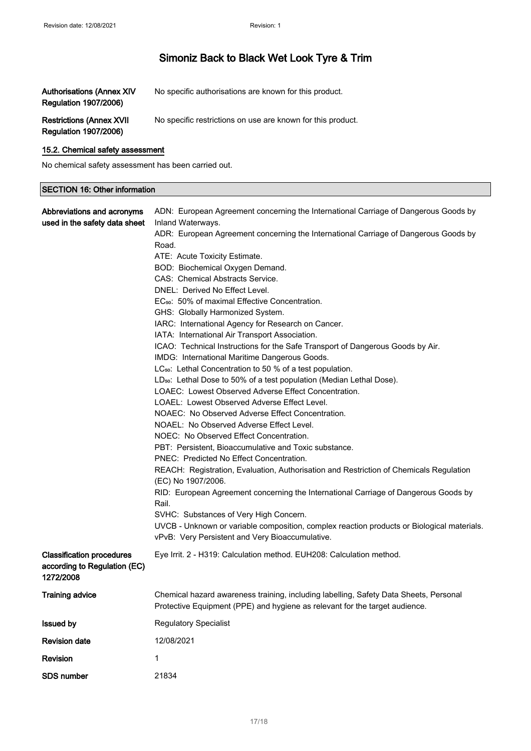| Authorisations (Annex XIV<br><b>Regulation 1907/2006)</b> | No specific authorisations are known for this product.      |
|-----------------------------------------------------------|-------------------------------------------------------------|
| <b>Restrictions (Annex XVII</b><br>Regulation 1907/2006)  | No specific restrictions on use are known for this product. |

### 15.2. Chemical safety assessment

No chemical safety assessment has been carried out.

### SECTION 16: Other information

| Abbreviations and acronyms<br>used in the safety data sheet                   | ADN: European Agreement concerning the International Carriage of Dangerous Goods by<br>Inland Waterways.<br>ADR: European Agreement concerning the International Carriage of Dangerous Goods by<br>Road.<br>ATE: Acute Toxicity Estimate.<br>BOD: Biochemical Oxygen Demand.<br>CAS: Chemical Abstracts Service.<br>DNEL: Derived No Effect Level.<br>EC <sub>50</sub> : 50% of maximal Effective Concentration.<br>GHS: Globally Harmonized System.<br>IARC: International Agency for Research on Cancer.<br>IATA: International Air Transport Association.<br>ICAO: Technical Instructions for the Safe Transport of Dangerous Goods by Air.<br>IMDG: International Maritime Dangerous Goods.<br>LC <sub>50</sub> : Lethal Concentration to 50 % of a test population.<br>LD <sub>50</sub> : Lethal Dose to 50% of a test population (Median Lethal Dose).<br>LOAEC: Lowest Observed Adverse Effect Concentration.<br>LOAEL: Lowest Observed Adverse Effect Level.<br>NOAEC: No Observed Adverse Effect Concentration.<br>NOAEL: No Observed Adverse Effect Level.<br>NOEC: No Observed Effect Concentration.<br>PBT: Persistent, Bioaccumulative and Toxic substance.<br>PNEC: Predicted No Effect Concentration.<br>REACH: Registration, Evaluation, Authorisation and Restriction of Chemicals Regulation<br>(EC) No 1907/2006.<br>RID: European Agreement concerning the International Carriage of Dangerous Goods by<br>Rail.<br>SVHC: Substances of Very High Concern.<br>UVCB - Unknown or variable composition, complex reaction products or Biological materials.<br>vPvB: Very Persistent and Very Bioaccumulative. |
|-------------------------------------------------------------------------------|---------------------------------------------------------------------------------------------------------------------------------------------------------------------------------------------------------------------------------------------------------------------------------------------------------------------------------------------------------------------------------------------------------------------------------------------------------------------------------------------------------------------------------------------------------------------------------------------------------------------------------------------------------------------------------------------------------------------------------------------------------------------------------------------------------------------------------------------------------------------------------------------------------------------------------------------------------------------------------------------------------------------------------------------------------------------------------------------------------------------------------------------------------------------------------------------------------------------------------------------------------------------------------------------------------------------------------------------------------------------------------------------------------------------------------------------------------------------------------------------------------------------------------------------------------------------------------------------------------------------------------|
| <b>Classification procedures</b><br>according to Regulation (EC)<br>1272/2008 | Eye Irrit. 2 - H319: Calculation method. EUH208: Calculation method.                                                                                                                                                                                                                                                                                                                                                                                                                                                                                                                                                                                                                                                                                                                                                                                                                                                                                                                                                                                                                                                                                                                                                                                                                                                                                                                                                                                                                                                                                                                                                            |
| <b>Training advice</b>                                                        | Chemical hazard awareness training, including labelling, Safety Data Sheets, Personal<br>Protective Equipment (PPE) and hygiene as relevant for the target audience.                                                                                                                                                                                                                                                                                                                                                                                                                                                                                                                                                                                                                                                                                                                                                                                                                                                                                                                                                                                                                                                                                                                                                                                                                                                                                                                                                                                                                                                            |
| <b>Issued by</b>                                                              | <b>Regulatory Specialist</b>                                                                                                                                                                                                                                                                                                                                                                                                                                                                                                                                                                                                                                                                                                                                                                                                                                                                                                                                                                                                                                                                                                                                                                                                                                                                                                                                                                                                                                                                                                                                                                                                    |
| <b>Revision date</b>                                                          | 12/08/2021                                                                                                                                                                                                                                                                                                                                                                                                                                                                                                                                                                                                                                                                                                                                                                                                                                                                                                                                                                                                                                                                                                                                                                                                                                                                                                                                                                                                                                                                                                                                                                                                                      |
| Revision                                                                      | 1                                                                                                                                                                                                                                                                                                                                                                                                                                                                                                                                                                                                                                                                                                                                                                                                                                                                                                                                                                                                                                                                                                                                                                                                                                                                                                                                                                                                                                                                                                                                                                                                                               |
| SDS number                                                                    | 21834                                                                                                                                                                                                                                                                                                                                                                                                                                                                                                                                                                                                                                                                                                                                                                                                                                                                                                                                                                                                                                                                                                                                                                                                                                                                                                                                                                                                                                                                                                                                                                                                                           |